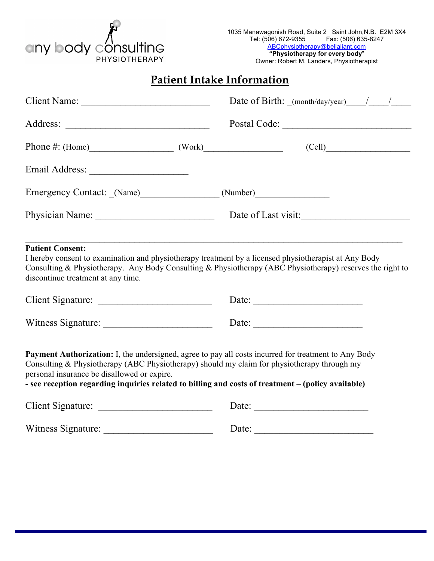# any body **Iting** PHYSIOTHERAPY

**Patient Intake Information**

|                                                                                                                                                                        | Date of Birth: $(month/day/year)$ /                                                                       |
|------------------------------------------------------------------------------------------------------------------------------------------------------------------------|-----------------------------------------------------------------------------------------------------------|
|                                                                                                                                                                        |                                                                                                           |
| Phone #: $(Home)$ $(Work)$                                                                                                                                             | (Cell)                                                                                                    |
|                                                                                                                                                                        |                                                                                                           |
| Emergency Contact: (Name) (Number)                                                                                                                                     |                                                                                                           |
|                                                                                                                                                                        | Date of Last visit:                                                                                       |
| <b>Patient Consent:</b><br>I hereby consent to examination and physiotherapy treatment by a licensed physiotherapist at Any Body<br>discontinue treatment at any time. | Consulting & Physiotherapy. Any Body Consulting & Physiotherapy (ABC Physiotherapy) reserves the right to |

| <b>Client Signature:</b>  | Date: |  |
|---------------------------|-------|--|
| <b>Witness Signature:</b> | Date: |  |

**Payment Authorization:** I, the undersigned, agree to pay all costs incurred for treatment to Any Body Consulting & Physiotherapy (ABC Physiotherapy) should my claim for physiotherapy through my personal insurance be disallowed or expire.

**- see reception regarding inquiries related to billing and costs of treatment – (policy available)**

| <b>Client Signature:</b> | Date: |
|--------------------------|-------|
| Witness Signature:       | Date: |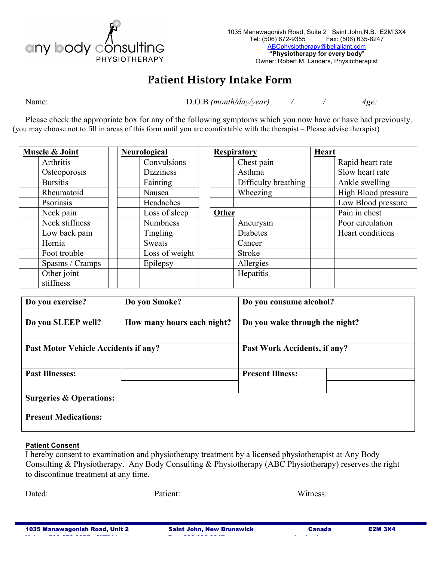

#### **Patient History Intake Form**

Name: D.O.B *(month/day/year)* / / *Age:*  $\Box$ 

Please check the appropriate box for any of the following symptoms which you now have or have had previously. (you may choose not to fill in areas of this form until you are comfortable with the therapist – Please advise therapist)

| Muscle & Joint  | Neurological     |       | <b>Respiratory</b>   | <b>Heart</b> |                     |
|-----------------|------------------|-------|----------------------|--------------|---------------------|
| Arthritis       | Convulsions      |       | Chest pain           |              | Rapid heart rate    |
| Osteoporosis    | <b>Dizziness</b> |       | Asthma               |              | Slow heart rate     |
| <b>Bursitis</b> | Fainting         |       | Difficulty breathing |              | Ankle swelling      |
| Rheumatoid      | Nausea           |       | Wheezing             |              | High Blood pressure |
| Psoriasis       | Headaches        |       |                      |              | Low Blood pressure  |
| Neck pain       | Loss of sleep    | Other |                      |              | Pain in chest       |
| Neck stiffness  | <b>Numbness</b>  |       | Aneurysm             |              | Poor circulation    |
| Low back pain   | Tingling         |       | Diabetes             |              | Heart conditions    |
| Hernia          | Sweats           |       | Cancer               |              |                     |
| Foot trouble    | Loss of weight   |       | Stroke               |              |                     |
| Spasms / Cramps | Epilepsy         |       | Allergies            |              |                     |
| Other joint     |                  |       | Hepatitis            |              |                     |
| stiffness       |                  |       |                      |              |                     |

| Do you exercise?                     | Do you Smoke?              | Do you consume alcohol?        |  |
|--------------------------------------|----------------------------|--------------------------------|--|
| Do you SLEEP well?                   | How many hours each night? | Do you wake through the night? |  |
| Past Motor Vehicle Accidents if any? |                            | Past Work Accidents, if any?   |  |
| <b>Past Illnesses:</b>               |                            | <b>Present Illness:</b>        |  |
| <b>Surgeries &amp; Operations:</b>   |                            |                                |  |
| <b>Present Medications:</b>          |                            |                                |  |

#### **Patient Consent**

I hereby consent to examination and physiotherapy treatment by a licensed physiotherapist at Any Body Consulting & Physiotherapy. Any Body Consulting & Physiotherapy (ABC Physiotherapy) reserves the right to discontinue treatment at any time.

| $\mathbf{\Gamma}$<br>Dated | w<br>.<br>. |
|----------------------------|-------------|
|                            |             |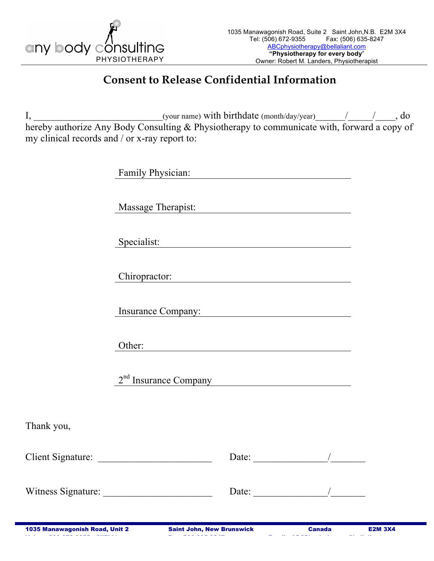

## **Consent to Release Confidential Information**

I, the same of the same of the set of the set of the set of the set of the set of the set of the set of the set of the set of the set of the set of the set of the set of the set of the set of the set of the set of the set hereby authorize Any Body Consulting & Physiotherapy to communicate with, forward a copy of my clinical records and / or x-ray report to:

|            | Family Physician: Manual Physician: |                                                                                                                                                                                                                                                                                                                                                                                                                          |  |
|------------|-------------------------------------|--------------------------------------------------------------------------------------------------------------------------------------------------------------------------------------------------------------------------------------------------------------------------------------------------------------------------------------------------------------------------------------------------------------------------|--|
|            | Massage Therapist:                  |                                                                                                                                                                                                                                                                                                                                                                                                                          |  |
|            | Specialist:                         |                                                                                                                                                                                                                                                                                                                                                                                                                          |  |
|            | Chiropractor:                       |                                                                                                                                                                                                                                                                                                                                                                                                                          |  |
|            | Insurance Company:                  |                                                                                                                                                                                                                                                                                                                                                                                                                          |  |
|            | Other:                              |                                                                                                                                                                                                                                                                                                                                                                                                                          |  |
|            | 2 <sup>nd</sup> Insurance Company   |                                                                                                                                                                                                                                                                                                                                                                                                                          |  |
| Thank you, |                                     |                                                                                                                                                                                                                                                                                                                                                                                                                          |  |
|            |                                     | Date: $\sqrt{2\pi r}$                                                                                                                                                                                                                                                                                                                                                                                                    |  |
|            |                                     | Date: $\frac{1}{\sqrt{1-\frac{1}{2}}}\frac{1}{\sqrt{1-\frac{1}{2}}}\frac{1}{\sqrt{1-\frac{1}{2}}}\frac{1}{\sqrt{1-\frac{1}{2}}}\frac{1}{\sqrt{1-\frac{1}{2}}}\frac{1}{\sqrt{1-\frac{1}{2}}}\frac{1}{\sqrt{1-\frac{1}{2}}}\frac{1}{\sqrt{1-\frac{1}{2}}}\frac{1}{\sqrt{1-\frac{1}{2}}}\frac{1}{\sqrt{1-\frac{1}{2}}}\frac{1}{\sqrt{1-\frac{1}{2}}}\frac{1}{\sqrt{1-\frac{1}{2}}}\frac{1}{\sqrt{1-\frac{1}{2}}}\frac{1}{\$ |  |
|            |                                     |                                                                                                                                                                                                                                                                                                                                                                                                                          |  |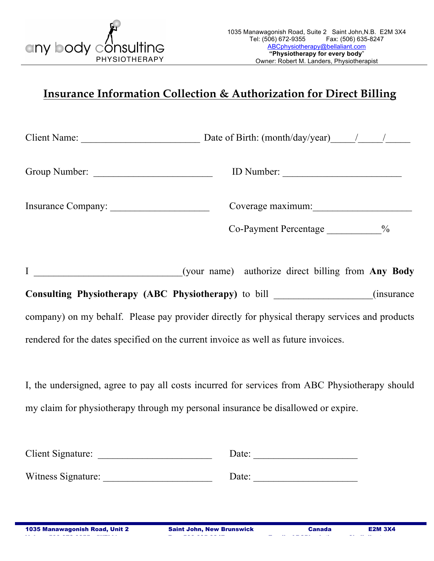

## **Insurance Information Collection & Authorization for Direct Billing**

| Client Name:                            |                                                             |                    |
|-----------------------------------------|-------------------------------------------------------------|--------------------|
| Group Number:                           | ID Number:                                                  |                    |
| Insurance Company:                      | Coverage maximum:                                           |                    |
|                                         | $Co$ -Payment Percentage $\frac{0}{6}$                      |                    |
| $\begin{array}{ccc} \hline \end{array}$ | (your name) authorize direct billing from Any Body          |                    |
|                                         | <b>Consulting Physiotherapy (ABC Physiotherapy)</b> to bill | <i>(insurance)</i> |

company) on my behalf. Please pay provider directly for physical therapy services and products rendered for the dates specified on the current invoice as well as future invoices.

I, the undersigned, agree to pay all costs incurred for services from ABC Physiotherapy should my claim for physiotherapy through my personal insurance be disallowed or expire.

| <b>Client Signature:</b> | Date: |  |
|--------------------------|-------|--|
|                          |       |  |
| Witness Signature:       | Date: |  |